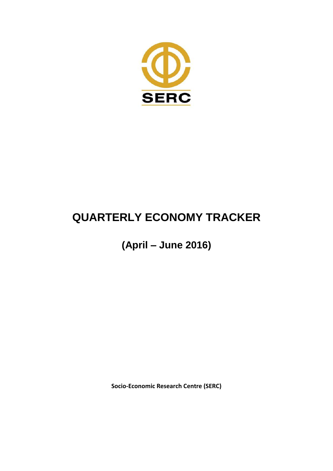

# **QUARTERLY ECONOMY TRACKER**

**(April – June 2016)** 

**Socio-Economic Research Centre (SERC)**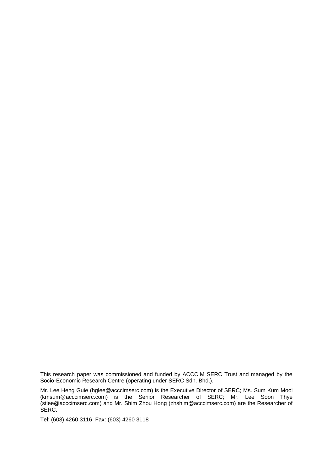Tel: (603) 4260 3116 Fax: (603) 4260 3118

This research paper was commissioned and funded by ACCCIM SERC Trust and managed by the Socio-Economic Research Centre (operating under SERC Sdn. Bhd.).

Mr. Lee Heng Guie (hglee@acccimserc.com) is the Executive Director of SERC; Ms. Sum Kum Mooi (kmsum@acccimserc.com) is the Senior Researcher of SERC; Mr. Lee Soon Thye (stlee@acccimserc.com) and Mr. Shim Zhou Hong (zhshim@acccimserc.com) are the Researcher of SERC.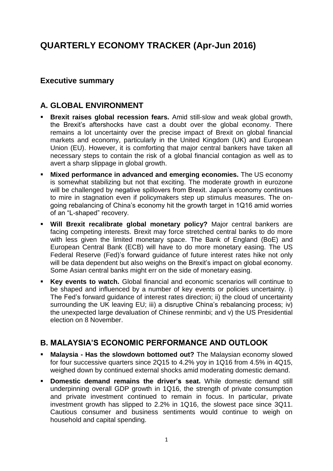# **QUARTERLY ECONOMY TRACKER (Apr-Jun 2016)**

#### **Executive summary**

#### **A. GLOBAL ENVIRONMENT**

- **Brexit raises global recession fears.** Amid still-slow and weak global growth, the Brexit's aftershocks have cast a doubt over the global economy. There remains a lot uncertainty over the precise impact of Brexit on global financial markets and economy, particularly in the United Kingdom (UK) and European Union (EU). However, it is comforting that major central bankers have taken all necessary steps to contain the risk of a global financial contagion as well as to avert a sharp slippage in global growth.
- **Mixed performance in advanced and emerging economies.** The US economy is somewhat stabilizing but not that exciting. The moderate growth in eurozone will be challenged by negative spillovers from Brexit. Japan's economy continues to mire in stagnation even if policymakers step up stimulus measures. The ongoing rebalancing of China's economy hit the growth target in 1Q16 amid worries of an "L-shaped" recovery.
- **Will Brexit recalibrate global monetary policy?** Major central bankers are facing competing interests. Brexit may force stretched central banks to do more with less given the limited monetary space. The Bank of England (BoE) and European Central Bank (ECB) will have to do more monetary easing. The US Federal Reserve (Fed)'s forward guidance of future interest rates hike not only will be data dependent but also weighs on the Brexit's impact on global economy. Some Asian central banks might err on the side of monetary easing.
- **Key events to watch.** Global financial and economic scenarios will continue to be shaped and influenced by a number of key events or policies uncertainty. i) The Fed's forward guidance of interest rates direction; ii) the cloud of uncertainty surrounding the UK leaving EU; iii) a disruptive China's rebalancing process; iv) the unexpected large devaluation of Chinese renminbi; and v) the US Presidential election on 8 November.

#### **B. MALAYSIA'S ECONOMIC PERFORMANCE AND OUTLOOK**

- **Malaysia - Has the slowdown bottomed out?** The Malaysian economy slowed for four successive quarters since 2Q15 to 4.2% yoy in 1Q16 from 4.5% in 4Q15, weighed down by continued external shocks amid moderating domestic demand.
- **Domestic demand remains the driver's seat.** While domestic demand still underpinning overall GDP growth in 1Q16, the strength of private consumption and private investment continued to remain in focus. In particular, private investment growth has slipped to 2.2% in 1Q16, the slowest pace since 3Q11. Cautious consumer and business sentiments would continue to weigh on household and capital spending.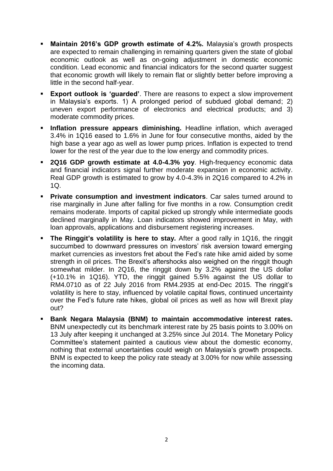- **Maintain 2016's GDP growth estimate of 4.2%.** Malaysia's growth prospects are expected to remain challenging in remaining quarters given the state of global economic outlook as well as on-going adjustment in domestic economic condition. Lead economic and financial indicators for the second quarter suggest that economic growth will likely to remain flat or slightly better before improving a little in the second half-year.
- **Export outlook is 'guarded'**. There are reasons to expect a slow improvement in Malaysia's exports. 1) A prolonged period of subdued global demand; 2) uneven export performance of electronics and electrical products; and 3) moderate commodity prices.
- **Inflation pressure appears diminishing.** Headline inflation, which averaged 3.4% in 1Q16 eased to 1.6% in June for four consecutive months, aided by the high base a year ago as well as lower pump prices. Inflation is expected to trend lower for the rest of the year due to the low energy and commodity prices.
- **2Q16 GDP growth estimate at 4.0-4.3% yoy**. High-frequency economic data and financial indicators signal further moderate expansion in economic activity. Real GDP growth is estimated to grow by 4.0-4.3% in 2Q16 compared to 4.2% in 1Q.
- **Private consumption and investment indicators**. Car sales turned around to rise marginally in June after falling for five months in a row. Consumption credit remains moderate. Imports of capital picked up strongly while intermediate goods declined marginally in May. Loan indicators showed improvement in May, with loan approvals, applications and disbursement registering increases.
- **The Ringgit's volatility is here to stay.** After a good rally in 1Q16, the ringgit succumbed to downward pressures on investors' risk aversion toward emerging market currencies as investors fret about the Fed's rate hike amid aided by some strength in oil prices. The Brexit's aftershocks also weighed on the ringgit though somewhat milder. In 2Q16, the ringgit down by 3.2% against the US dollar (+10.1% in 1Q16). YTD, the ringgit gained 5.5% against the US dollar to RM4.0710 as of 22 July 2016 from RM4.2935 at end-Dec 2015. The ringgit's volatility is here to stay, influenced by volatile capital flows, continued uncertainty over the Fed's future rate hikes, global oil prices as well as how will Brexit play out?
- **Bank Negara Malaysia (BNM) to maintain accommodative interest rates.**  BNM unexpectedly cut its benchmark interest rate by 25 basis points to 3.00% on 13 July after keeping it unchanged at 3.25% since Jul 2014. The Monetary Policy Committee's statement painted a cautious view about the domestic economy, nothing that external uncertainties could weigh on Malaysia's growth prospects. BNM is expected to keep the policy rate steady at 3.00% for now while assessing the incoming data.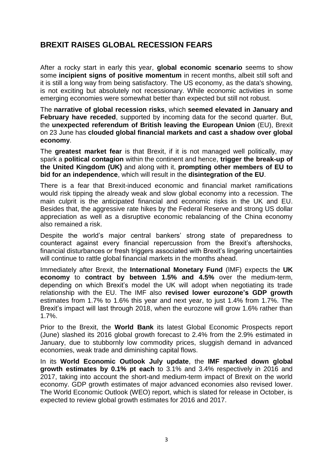## **BREXIT RAISES GLOBAL RECESSION FEARS**

After a rocky start in early this year, **global economic scenario** seems to show some **incipient signs of positive momentum** in recent months, albeit still soft and it is still a long way from being satisfactory. The US economy, as the data's showing, is not exciting but absolutely not recessionary. While economic activities in some emerging economies were somewhat better than expected but still not robust.

The **narrative of global recession risks**, which **seemed elevated in January and February have receded**, supported by incoming data for the second quarter. But, the **unexpected referendum of British leaving the European Union** (EU), Brexit on 23 June has **clouded global financial markets and cast a shadow over global economy**.

The **greatest market fear** is that Brexit, if it is not managed well politically, may spark a **political contagion** within the continent and hence, **trigger the break-up of the United Kingdom (UK)** and along with it, **prompting other members of EU to bid for an independence**, which will result in the **disintegration of the EU**.

There is a fear that Brexit-induced economic and financial market ramifications would risk tipping the already weak and slow global economy into a recession. The main culprit is the anticipated financial and economic risks in the UK and EU. Besides that, the aggressive rate hikes by the Federal Reserve and strong US dollar appreciation as well as a disruptive economic rebalancing of the China economy also remained a risk.

Despite the world's major central bankers' strong state of preparedness to counteract against every financial repercussion from the Brexit's aftershocks, financial disturbances or fresh triggers associated with Brexit's lingering uncertainties will continue to rattle global financial markets in the months ahead.

Immediately after Brexit, the **International Monetary Fund** (IMF) expects the **UK economy** to **contract by between 1.5% and 4.5%** over the medium-term, depending on which Brexit's model the UK will adopt when negotiating its trade relationship with the EU. The IMF also **revised lower eurozone's GDP growth** estimates from 1.7% to 1.6% this year and next year, to just 1.4% from 1.7%. The Brexit's impact will last through 2018, when the eurozone will grow 1.6% rather than 1.7%.

Prior to the Brexit, the **World Bank** its latest Global Economic Prospects report (June) slashed its 2016 global growth forecast to 2.4% from the 2.9% estimated in January, due to stubbornly low commodity prices, sluggish demand in advanced economies, weak trade and diminishing capital flows.

In its **World Economic Outlook July update**, the **IMF marked down global growth estimates by 0.1% pt each** to 3.1% and 3.4% respectively in 2016 and 2017, taking into account the short-and medium-term impact of Brexit on the world economy. GDP growth estimates of major advanced economies also revised lower. The World Economic Outlook (WEO) report, which is slated for release in October, is expected to review global growth estimates for 2016 and 2017.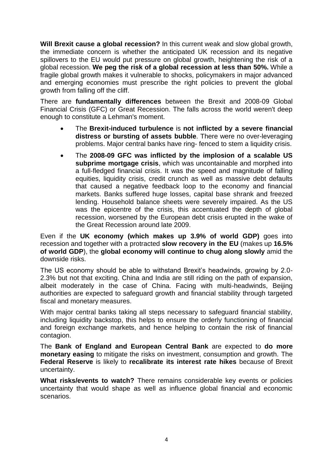**Will Brexit cause a global recession?** In this current weak and slow global growth, the immediate concern is whether the anticipated UK recession and its negative spillovers to the EU would put pressure on global growth, heightening the risk of a global recession. **We peg the risk of a global recession at less than 50%.** While a fragile global growth makes it vulnerable to shocks, policymakers in major advanced and emerging economies must prescribe the right policies to prevent the global growth from falling off the cliff.

There are **fundamentally differences** between the Brexit and 2008-09 Global Financial Crisis (GFC) or Great Recession. The falls across the world weren't deep enough to constitute a Lehman's moment.

- The **Brexit-induced turbulence** is **not inflicted by a severe financial distress or bursting of assets bubble**. There were no over-leveraging problems. Major central banks have ring- fenced to stem a liquidity crisis.
- The **2008-09 GFC was inflicted by the implosion of a scalable US subprime mortgage crisis**, which was uncontainable and morphed into a full-fledged financial crisis. It was the speed and magnitude of falling equities, liquidity crisis, credit crunch as well as massive debt defaults that caused a negative feedback loop to the economy and financial markets. Banks suffered huge losses, capital base shrank and freezed lending. Household balance sheets were severely impaired. As the US was the epicentre of the crisis, this accentuated the depth of global recession, worsened by the European debt crisis erupted in the wake of the Great Recession around late 2009.

Even if the **UK economy (which makes up 3.9% of world GDP)** goes into recession and together with a protracted **slow recovery in the EU** (makes up **16.5% of world GDP**), the **global economy will continue to chug along slowly** amid the downside risks.

The US economy should be able to withstand Brexit's headwinds, growing by 2.0- 2.3% but not that exciting. China and India are still riding on the path of expansion, albeit moderately in the case of China. Facing with multi-headwinds, Beijing authorities are expected to safeguard growth and financial stability through targeted fiscal and monetary measures.

With major central banks taking all steps necessary to safeguard financial stability, including liquidity backstop, this helps to ensure the orderly functioning of financial and foreign exchange markets, and hence helping to contain the risk of financial contagion.

The **Bank of England and European Central Bank** are expected to **do more monetary easing** to mitigate the risks on investment, consumption and growth. The **Federal Reserve** is likely to **recalibrate its interest rate hikes** because of Brexit uncertainty.

**What risks/events to watch?** There remains considerable key events or policies uncertainty that would shape as well as influence global financial and economic scenarios.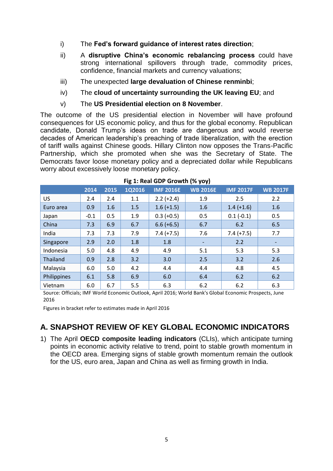- i) The **Fed's forward guidance of interest rates direction**;
- ii) A **disruptive China's economic rebalancing process** could have strong international spillovers through trade, commodity prices, confidence, financial markets and currency valuations;
- iii) The unexpected **large devaluation of Chinese renminbi**;
- iv) The **cloud of uncertainty surrounding the UK leaving EU**; and
- v) The **US Presidential election on 8 November**.

The outcome of the US presidential election in November will have profound consequences for US economic policy, and thus for the global economy. Republican candidate, Donald Trump's ideas on trade are dangerous and would reverse decades of American leadership's preaching of trade liberalization, with the erection of tariff walls against Chinese goods. Hillary Clinton now opposes the Trans-Pacific Partnership, which she promoted when she was the Secretary of State. The Democrats favor loose monetary policy and a depreciated dollar while Republicans worry about excessively loose monetary policy.

|             |        | ັ    |        |                  | .                            |                  |                          |  |
|-------------|--------|------|--------|------------------|------------------------------|------------------|--------------------------|--|
|             | 2014   | 2015 | 1Q2016 | <b>IMF 2016E</b> | <b>WB 2016E</b>              | <b>IMF 2017F</b> | <b>WB 2017F</b>          |  |
| US          | 2.4    | 2.4  | 1.1    | $2.2 (+2.4)$     | 1.9                          | 2.5              | 2.2                      |  |
| Euro area   | 0.9    | 1.6  | 1.5    | $1.6 (+1.5)$     | 1.6                          | $1.4 (+1.6)$     | 1.6                      |  |
| Japan       | $-0.1$ | 0.5  | 1.9    | $0.3 (+0.5)$     | 0.5                          | $0.1(-0.1)$      | 0.5                      |  |
| China       | 7.3    | 6.9  | 6.7    | $6.6 (+6.5)$     | 6.7                          | 6.2              | 6.5                      |  |
| India       | 7.3    | 7.3  | 7.9    | $7.4 (+7.5)$     | 7.6                          | $7.4 (+7.5)$     | 7.7                      |  |
| Singapore   | 2.9    | 2.0  | 1.8    | 1.8              | $\qquad \qquad \blacksquare$ | 2.2              | $\overline{\phantom{a}}$ |  |
| Indonesia   | 5.0    | 4.8  | 4.9    | 4.9              | 5.1                          | 5.3              | 5.3                      |  |
| Thailand    | 0.9    | 2.8  | 3.2    | 3.0              | 2.5                          | 3.2              | 2.6                      |  |
| Malaysia    | 6.0    | 5.0  | 4.2    | 4.4              | 4.4                          | 4.8              | 4.5                      |  |
| Philippines | 6.1    | 5.8  | 6.9    | 6.0              | 6.4                          | 6.2              | 6.2                      |  |
| Vietnam     | 6.0    | 6.7  | 5.5    | 6.3              | 6.2                          | 6.2              | 6.3                      |  |

#### **Fig 1: Real GDP Growth (% yoy)**

Source: Officials; IMF World Economic Outlook, April 2016; World Bank's Global Economic Prospects, June 2016

Figures in bracket refer to estimates made in April 2016

## **A. SNAPSHOT REVIEW OF KEY GLOBAL ECONOMIC INDICATORS**

1) The April **OECD composite leading indicators** (CLIs), which anticipate turning points in economic activity relative to trend, point to stable growth momentum in the OECD area. Emerging signs of stable growth momentum remain the outlook for the US, euro area, Japan and China as well as firming growth in India.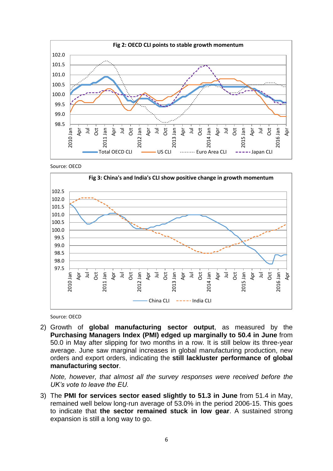

Source: OECD



Source: OECD

2) Growth of **global manufacturing sector output**, as measured by the **Purchasing Managers Index (PMI) edged up marginally to 50.4 in June** from 50.0 in May after slipping for two months in a row. It is still below its three-year average. June saw marginal increases in global manufacturing production, new orders and export orders, indicating the **still lackluster performance of global manufacturing sector**.

*Note, however, that almost all the survey responses were received before the UK's vote to leave the EU.*

3) The **PMI for services sector eased slightly to 51.3 in June** from 51.4 in May, remained well below long-run average of 53.0% in the period 2006-15. This goes to indicate that **the sector remained stuck in low gear**. A sustained strong expansion is still a long way to go.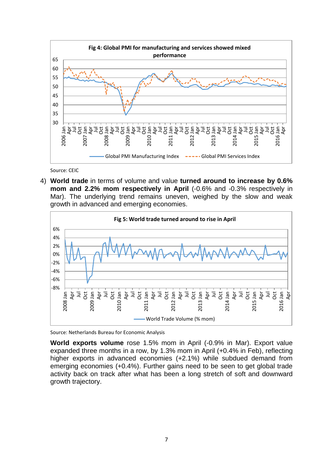

Source: CEIC

4) **World trade** in terms of volume and value **turned around to increase by 0.6% mom and 2.2% mom respectively in April** (-0.6% and -0.3% respectively in Mar). The underlying trend remains uneven, weighed by the slow and weak growth in advanced and emerging economies.



Source: Netherlands Bureau for Economic Analysis

**World exports volume** rose 1.5% mom in April (-0.9% in Mar). Export value expanded three months in a row, by 1.3% mom in April (+0.4% in Feb), reflecting higher exports in advanced economies (+2.1%) while subdued demand from emerging economies (+0.4%). Further gains need to be seen to get global trade activity back on track after what has been a long stretch of soft and downward growth trajectory.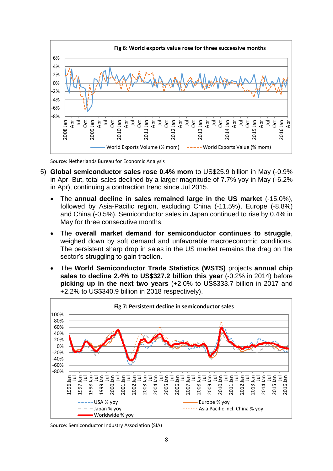

Source: Netherlands Bureau for Economic Analysis

- 5) **Global semiconductor sales rose 0.4% mom** to US\$25.9 billion in May (-0.9% in Apr. But, total sales declined by a larger magnitude of 7.7% yoy in May (-6.2% in Apr), continuing a contraction trend since Jul 2015.
	- The **annual decline in sales remained large in the US market** (-15.0%), followed by Asia-Pacific region, excluding China (-11.5%), Europe (-8.8%) and China (-0.5%). Semiconductor sales in Japan continued to rise by 0.4% in May for three consecutive months.
	- The **overall market demand for semiconductor continues to struggle**, weighed down by soft demand and unfavorable macroeconomic conditions. The persistent sharp drop in sales in the US market remains the drag on the sector's struggling to gain traction.
	- The **World Semiconductor Trade Statistics (WSTS)** projects **annual chip sales to decline 2.4% to US\$327.2 billion this year** (-0.2% in 2014) before **picking up in the next two years** (+2.0% to US\$333.7 billion in 2017 and +2.2% to US\$340.9 billion in 2018 respectively).



Source: Semiconductor Industry Association (SIA)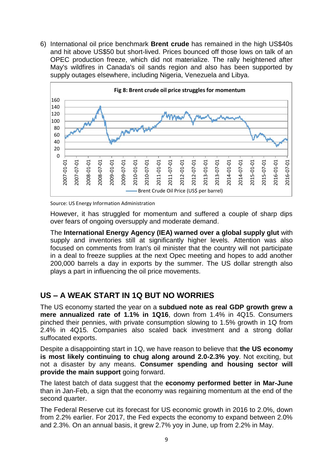6) International oil price benchmark **Brent crude** has remained in the high US\$40s and hit above US\$50 but short-lived. Prices bounced off those lows on talk of an OPEC production freeze, which did not materialize. The rally heightened after May's wildfires in Canada's oil sands region and also has been supported by supply outages elsewhere, including Nigeria, Venezuela and Libya.



Source: US Energy Information Administration

However, it has struggled for momentum and suffered a couple of sharp dips over fears of ongoing oversupply and moderate demand.

The **International Energy Agency (IEA) warned over a global supply glut** with supply and inventories still at significantly higher levels. Attention was also focused on comments from Iran's oil minister that the country will not participate in a deal to freeze supplies at the next Opec meeting and hopes to add another 200,000 barrels a day in exports by the summer. The US dollar strength also plays a part in influencing the oil price movements.

#### **US – A WEAK START IN 1Q BUT NO WORRIES**

The US economy started the year on a **subdued note as real GDP growth grew a mere annualized rate of 1.1% in 1Q16**, down from 1.4% in 4Q15. Consumers pinched their pennies, with private consumption slowing to 1.5% growth in 1Q from 2.4% in 4Q15. Companies also scaled back investment and a strong dollar suffocated exports.

Despite a disappointing start in 1Q, we have reason to believe that **the US economy is most likely continuing to chug along around 2.0-2.3% yoy**. Not exciting, but not a disaster by any means. **Consumer spending and housing sector will provide the main support** going forward.

The latest batch of data suggest that the **economy performed better in Mar-June** than in Jan-Feb, a sign that the economy was regaining momentum at the end of the second quarter.

The Federal Reserve cut its forecast for US economic growth in 2016 to 2.0%, down from 2.2% earlier. For 2017, the Fed expects the economy to expand between 2.0% and 2.3%. On an annual basis, it grew 2.7% yoy in June, up from 2.2% in May.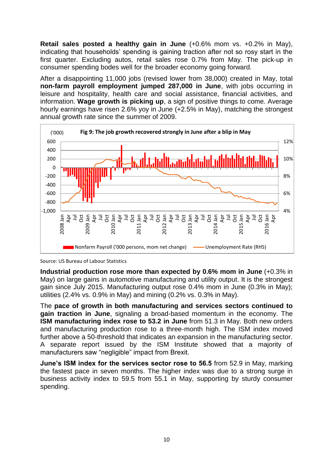**Retail sales posted a healthy gain in June** (+0.6% mom vs. +0.2% in May), indicating that households' spending is gaining traction after not so rosy start in the first quarter. Excluding autos, retail sales rose 0.7% from May. The pick-up in consumer spending bodes well for the broader economy going forward.

After a disappointing 11,000 jobs (revised lower from 38,000) created in May, total **non-farm payroll employment jumped 287,000 in June**, with jobs occurring in leisure and hospitality, health care and social assistance, financial activities, and information. **Wage growth is picking up**, a sign of positive things to come. Average hourly earnings have risen 2.6% yoy in June (+2.5% in May), matching the strongest annual growth rate since the summer of 2009.



Source: US Bureau of Labour Statistics

**Industrial production rose more than expected by 0.6% mom in June** (+0.3% in May) on large gains in automotive manufacturing and utility output. It is the strongest gain since July 2015. Manufacturing output rose 0.4% mom in June (0.3% in May); utilities (2.4% vs. 0.9% in May) and mining (0.2% vs. 0.3% in May).

The **pace of growth in both manufacturing and services sectors continued to gain traction in June**, signaling a broad-based momentum in the economy. The **ISM manufacturing index rose to 53.2 in June** from 51.3 in May. Both new orders and manufacturing production rose to a three-month high. The ISM index moved further above a 50-threshold that indicates an expansion in the manufacturing sector. A separate report issued by the ISM Institute showed that a majority of manufacturers saw "negligible" impact from Brexit.

**June's ISM index for the services sector rose to 56.5** from 52.9 in May, marking the fastest pace in seven months. The higher index was due to a strong surge in business activity index to 59.5 from 55.1 in May, supporting by sturdy consumer spending.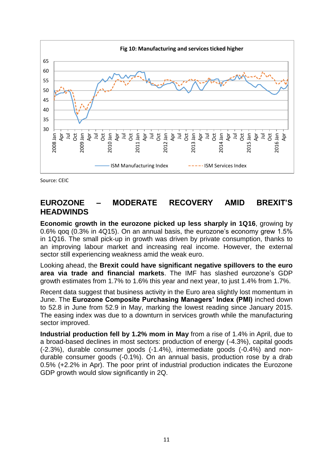

Source: CEIC

#### **EUROZONE – MODERATE RECOVERY AMID BREXIT'S HEADWINDS**

**Economic growth in the eurozone picked up less sharply in 1Q16**, growing by 0.6% qoq (0.3% in 4Q15). On an annual basis, the eurozone's economy grew 1.5% in 1Q16. The small pick-up in growth was driven by private consumption, thanks to an improving labour market and increasing real income. However, the external sector still experiencing weakness amid the weak euro.

Looking ahead, the **Brexit could have significant negative spillovers to the euro area via trade and financial markets**. The IMF has slashed eurozone's GDP growth estimates from 1.7% to 1.6% this year and next year, to just 1.4% from 1.7%.

Recent data suggest that business activity in the Euro area slightly lost momentum in June. The **Eurozone Composite Purchasing Managers' Index (PMI)** inched down to 52.8 in June from 52.9 in May, marking the lowest reading since January 2015. The easing index was due to a downturn in services growth while the manufacturing sector improved.

**Industrial production fell by 1.2% mom in May** from a rise of 1.4% in April, due to a broad-based declines in most sectors: production of energy (-4.3%), capital goods (-2.3%), durable consumer goods (-1.4%), intermediate goods (-0.4%) and nondurable consumer goods (-0.1%). On an annual basis, production rose by a drab 0.5% (+2.2% in Apr). The poor print of industrial production indicates the Eurozone GDP growth would slow significantly in 2Q.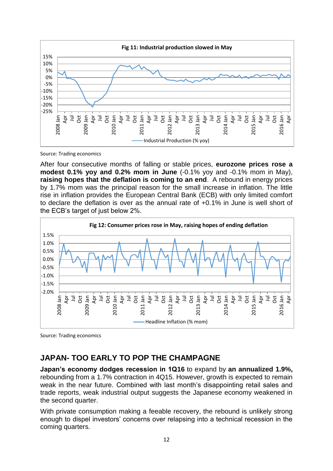

Source: Trading economics

After four consecutive months of falling or stable prices, **eurozone prices rose a modest 0.1% yoy and 0.2% mom in June** (-0.1% yoy and -0.1% mom in May), **raising hopes that the deflation is coming to an end**. A rebound in energy prices by 1.7% mom was the principal reason for the small increase in inflation. The little rise in inflation provides the European Central Bank (ECB) with only limited comfort to declare the deflation is over as the annual rate of +0.1% in June is well short of the ECB's target of just below 2%.



Source: Trading economics

## **JAPAN- TOO EARLY TO POP THE CHAMPAGNE**

**Japan's economy dodges recession in 1Q16** to expand by **an annualized 1.9%,** rebounding from a 1.7% contraction in 4Q15. However, growth is expected to remain weak in the near future. Combined with last month's disappointing retail sales and trade reports, weak industrial output suggests the Japanese economy weakened in the second quarter.

With private consumption making a feeable recovery, the rebound is unlikely strong enough to dispel investors' concerns over relapsing into a technical recession in the coming quarters.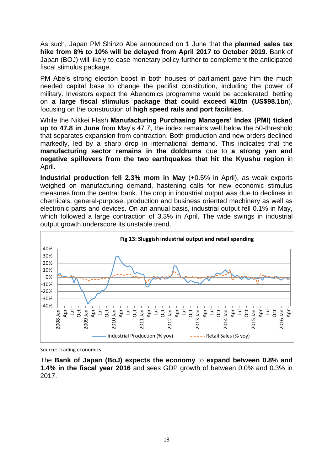As such, Japan PM Shinzo Abe announced on 1 June that the **planned sales tax hike from 8% to 10% will be delayed from April 2017 to October 2019**. Bank of Japan (BOJ) will likely to ease monetary policy further to complement the anticipated fiscal stimulus package.

PM Abe's strong election boost in both houses of parliament gave him the much needed capital base to change the pacifist constitution, including the power of military. Investors expect the Abenomics programme would be accelerated, betting on **a large fiscal stimulus package that could exceed ¥10tn (US\$98.1bn**), focusing on the construction of **high speed rails and port facilities**.

While the Nikkei Flash **Manufacturing Purchasing Managers' Index (PMI) ticked up to 47.8 in June** from May's 47.7, the index remains well below the 50-threshold that separates expansion from contraction. Both production and new orders declined markedly, led by a sharp drop in international demand. This indicates that the **manufacturing sector remains in the doldrums** due to **a strong yen and negative spillovers from the two earthquakes that hit the Kyushu region** in April.

**Industrial production fell 2.3% mom in May** (+0.5% in April), as weak exports weighed on manufacturing demand, hastening calls for new economic stimulus measures from the central bank. The drop in industrial output was due to declines in chemicals, general-purpose, production and business oriented machinery as well as electronic parts and devices. On an annual basis, industrial output fell 0.1% in May, which followed a large contraction of 3.3% in April. The wide swings in industrial output growth underscore its unstable trend.



Source: Trading economics

The **Bank of Japan (BoJ) expects the economy** to **expand between 0.8% and 1.4% in the fiscal year 2016** and sees GDP growth of between 0.0% and 0.3% in 2017.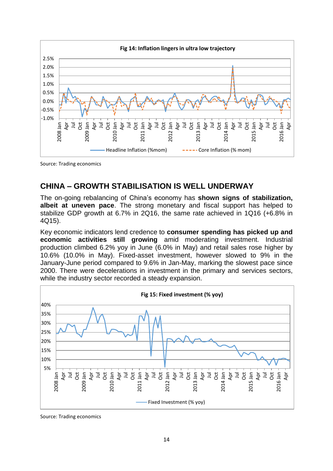

Source: Trading economics

## **CHINA – GROWTH STABILISATION IS WELL UNDERWAY**

The on-going rebalancing of China's economy has **shown signs of stabilization, albeit at uneven pace**. The strong monetary and fiscal support has helped to stabilize GDP growth at 6.7% in 2Q16, the same rate achieved in 1Q16 (+6.8% in 4Q15).

Key economic indicators lend credence to **consumer spending has picked up and economic activities still growing** amid moderating investment. Industrial production climbed 6.2% yoy in June (6.0% in May) and retail sales rose higher by 10.6% (10.0% in May). Fixed-asset investment, however slowed to 9% in the January-June period compared to 9.6% in Jan-May, marking the slowest pace since 2000. There were decelerations in investment in the primary and services sectors, while the industry sector recorded a steady expansion.



Source: Trading economics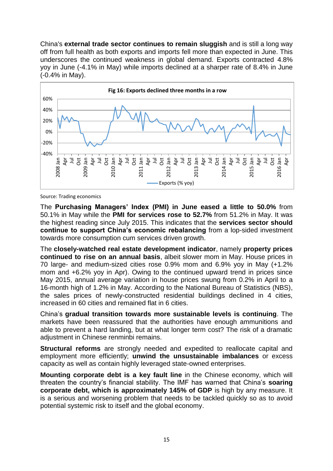China's **external trade sector continues to remain sluggish** and is still a long way off from full health as both exports and imports fell more than expected in June. This underscores the continued weakness in global demand. Exports contracted 4.8% yoy in June (-4.1% in May) while imports declined at a sharper rate of 8.4% in June (-0.4% in May).



Source: Trading economics

The **Purchasing Managers' Index (PMI) in June eased a little to 50.0%** from 50.1% in May while the **PMI for services rose to 52.7%** from 51.2% in May. It was the highest reading since July 2015. This indicates that the **services sector should continue to support China's economic rebalancing** from a lop-sided investment towards more consumption cum services driven growth.

The **closely-watched real estate development indicator**, namely **property prices continued to rise on an annual basis**, albeit slower mom in May. House prices in 70 large- and medium-sized cities rose 0.9% mom and 6.9% yoy in May (+1.2% mom and +6.2% yoy in Apr). Owing to the continued upward trend in prices since May 2015, annual average variation in house prices swung from 0.2% in April to a 16-month high of 1.2% in May. According to the National Bureau of Statistics (NBS), the sales prices of newly-constructed residential buildings declined in 4 cities, increased in 60 cities and remained flat in 6 cities.

China's **gradual transition towards more sustainable levels is continuing**. The markets have been reassured that the authorities have enough ammunitions and able to prevent a hard landing, but at what longer term cost? The risk of a dramatic adjustment in Chinese renminbi remains.

**Structural reforms** are strongly needed and expedited to reallocate capital and employment more efficiently; **unwind the unsustainable imbalances** or excess capacity as well as contain highly leveraged state-owned enterprises.

**Mounting corporate debt is a key fault line** in the Chinese economy, which will threaten the country's financial stability. The IMF has warned that China's **soaring corporate debt, which is approximately 145% of GDP** is high by any measure. It is a serious and worsening problem that needs to be tackled quickly so as to avoid potential systemic risk to itself and the global economy.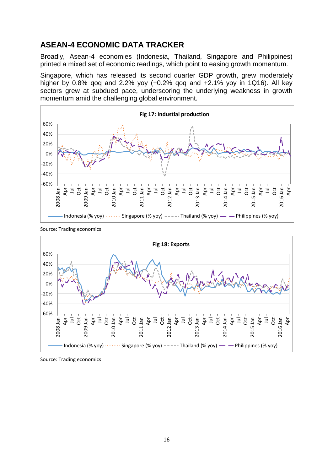## **ASEAN-4 ECONOMIC DATA TRACKER**

Broadly, Asean-4 economies (Indonesia, Thailand, Singapore and Philippines) printed a mixed set of economic readings, which point to easing growth momentum.

Singapore, which has released its second quarter GDP growth, grew moderately higher by 0.8% qoq and 2.2% yoy (+0.2% qoq and +2.1% yoy in 1Q16). All key sectors grew at subdued pace, underscoring the underlying weakness in growth momentum amid the challenging global environment.





Source: Trading economics

Source: Trading economics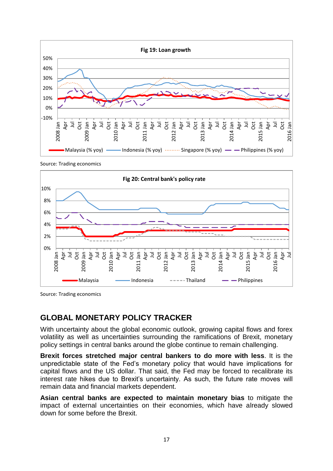

Source: Trading economics



Source: Trading economics

#### **GLOBAL MONETARY POLICY TRACKER**

With uncertainty about the global economic outlook, growing capital flows and forex volatility as well as uncertainties surrounding the ramifications of Brexit, monetary policy settings in central banks around the globe continue to remain challenging.

**Brexit forces stretched major central bankers to do more with less**. It is the unpredictable state of the Fed's monetary policy that would have implications for capital flows and the US dollar. That said, the Fed may be forced to recalibrate its interest rate hikes due to Brexit's uncertainty. As such, the future rate moves will remain data and financial markets dependent.

**Asian central banks are expected to maintain monetary bias** to mitigate the impact of external uncertainties on their economies, which have already slowed down for some before the Brexit.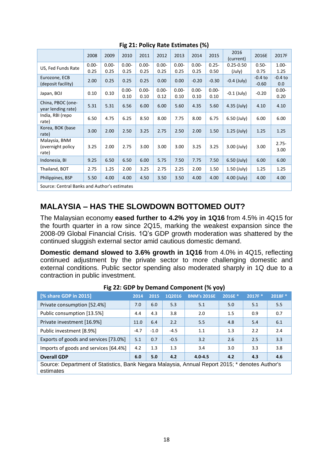| ັ                                            |                  |                  |                  |                  |                  |                  |                  |                  |                         |                      |                  |
|----------------------------------------------|------------------|------------------|------------------|------------------|------------------|------------------|------------------|------------------|-------------------------|----------------------|------------------|
|                                              | 2008             | 2009             | 2010             | 2011             | 2012             | 2013             | 2014             | 2015             | 2016<br>(current)       | 2016E                | 2017F            |
| US, Fed Funds Rate                           | $0.00 -$<br>0.25 | $0.00 -$<br>0.25 | $0.00 -$<br>0.25 | $0.00 -$<br>0.25 | $0.00 -$<br>0.25 | $0.00 -$<br>0.25 | $0.00 -$<br>0.25 | $0.25 -$<br>0.50 | $0.25 - 0.50$<br>(July) | $0.50 -$<br>0.75     | $1.00 -$<br>1.25 |
| Eurozone, ECB<br>(deposit facility)          | 2.00             | 0.25             | 0.25             | 0.25             | 0.00             | 0.00             | $-0.20$          | $-0.30$          | $-0.4$ (July)           | $-0.4$ to<br>$-0.60$ | $-0.4$ to<br>0.0 |
| Japan, BOJ                                   | 0.10             | 0.10             | $0.00 -$<br>0.10 | $0.00 -$<br>0.10 | $0.00 -$<br>0.12 | $0.00 -$<br>0.10 | $0.00 -$<br>0.10 | $0.00 -$<br>0.10 | $-0.1$ (July)           | $-0.20$              | $0.00 -$<br>0.20 |
| China, PBOC (one-<br>year lending rate)      | 5.31             | 5.31             | 6.56             | 6.00             | 6.00             | 5.60             | 4.35             | 5.60             | 4.35 (July)             | 4.10                 | 4.10             |
| India, RBI (repo<br>rate)                    | 6.50             | 4.75             | 6.25             | 8.50             | 8.00             | 7.75             | 8.00             | 6.75             | $6.50$ (July)           | 6.00                 | 6.00             |
| Korea, BOK (base<br>rate)                    | 3.00             | 2.00             | 2.50             | 3.25             | 2.75             | 2.50             | 2.00             | 1.50             | $1.25$ (July)           | 1.25                 | 1.25             |
| Malaysia, BNM<br>(overnight policy<br>rate)  | 3.25             | 2.00             | 2.75             | 3.00             | 3.00             | 3.00             | 3.25             | 3.25             | $3.00$ (July)           | 3.00                 | $2.75 -$<br>3.00 |
| Indonesia, BI                                | 9.25             | 6.50             | 6.50             | 6.00             | 5.75             | 7.50             | 7.75             | 7.50             | 6.50 (July)             | 6.00                 | 6.00             |
| Thailand, BOT                                | 2.75             | 1.25             | 2.00             | 3.25             | 2.75             | 2.25             | 2.00             | 1.50             | 1.50 (July)             | 1.25                 | 1.25             |
| Philippines, BSP                             | 5.50             | 4.00             | 4.00             | 4.50             | 3.50             | 3.50             | 4.00             | 4.00             | $4.00$ (July)           | 4.00                 | 4.00             |
| Source: Central Banks and Author's estimates |                  |                  |                  |                  |                  |                  |                  |                  |                         |                      |                  |

**Fig 21: Policy Rate Estimates (%)**

## **MALAYSIA – HAS THE SLOWDOWN BOTTOMED OUT?**

The Malaysian economy **eased further to 4.2% yoy in 1Q16** from 4.5% in 4Q15 for the fourth quarter in a row since 2Q15, marking the weakest expansion since the 2008-09 Global Financial Crisis. 1Q's GDP growth moderation was shattered by the continued sluggish external sector amid cautious domestic demand.

**Domestic demand slowed to 3.6% growth in 1Q16** from 4.0% in 4Q15, reflecting continued adjustment by the private sector to more challenging domestic and external conditions. Public sector spending also moderated sharply in 1Q due to a contraction in public investment.

| [% share GDP in 2015]                                                                                       | 2014 | 2015   | 102016 | <b>BNM's 2016E</b> | 2016E * | 2017F* | 2018F* |  |
|-------------------------------------------------------------------------------------------------------------|------|--------|--------|--------------------|---------|--------|--------|--|
| Private consumption [52.4%]                                                                                 | 7.0  | 6.0    | 5.3    | 5.1                | 5.0     | 5.1    | 5.5    |  |
| Public consumption [13.5%]                                                                                  | 4.4  | 4.3    | 3.8    | 2.0                | 1.5     | 0.9    | 0.7    |  |
| Private investment [16.9%]                                                                                  | 11.0 | 6.4    | 2.2    | 5.5                | 4.8     | 5.4    | 6.1    |  |
| Public investment [8.9%]                                                                                    |      | $-1.0$ | $-4.5$ | 1.1                | 1.3     | 2.2    | 2.4    |  |
| Exports of goods and services [73.0%]                                                                       | 5.1  | 0.7    | $-0.5$ | 3.2                | 2.6     | 2.5    | 3.3    |  |
| Imports of goods and services [64.4%]                                                                       | 4.2  | 1.3    | 1.3    | 3.4                | 3.0     | 3.3    | 3.8    |  |
| <b>Overall GDP</b>                                                                                          | 6.0  | 5.0    | 4.2    | $4.0 - 4.5$        | 4.2     | 4.3    | 4.6    |  |
| Source: Department of Statistics, Bank Negara Malaysia, Annual Report 2015; * denotes Author's<br>estimates |      |        |        |                    |         |        |        |  |

| Fig 22: GDP by Demand Component (% yoy) |  |
|-----------------------------------------|--|
|-----------------------------------------|--|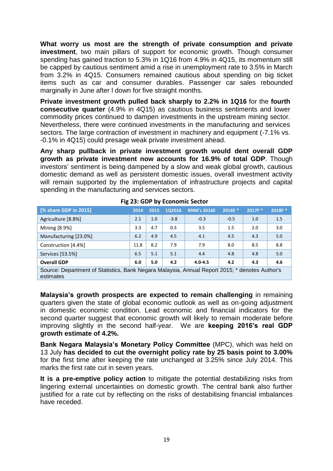**What worry us most are the strength of private consumption and private investment**, two main pillars of support for economic growth. Though consumer spending has gained traction to 5.3% in 1Q16 from 4.9% in 4Q15, its momentum still be capped by cautious sentiment amid a rise in unemployment rate to 3.5% in March from 3.2% in 4Q15. Consumers remained cautious about spending on big ticket items such as car and consumer durables. Passenger car sales rebounded marginally in June after l down for five straight months.

**Private investment growth pulled back sharply to 2.2% in 1Q16** for the **fourth consecutive quarter** (4.9% in 4Q15) as cautious business sentiments and lower commodity prices continued to dampen investments in the upstream mining sector. Nevertheless, there were continued investments in the manufacturing and services sectors. The large contraction of investment in machinery and equipment (-7.1% vs. -0.1% in 4Q15) could presage weak private investment ahead.

**Any sharp pullback in private investment growth would dent overall GDP growth as private investment now accounts for 16.9% of total GDP**. Though investors' sentiment is being dampened by a slow and weak global growth, cautious domestic demand as well as persistent domestic issues, overall investment activity will remain supported by the implementation of infrastructure projects and capital spending in the manufacturing and services sectors.

| [% share GDP in 2015]<br>2014                                                                               |      | 2015 | 1Q2016 | <b>BNM's 2016E</b> | 2016E * | 2017F * | 2018F* |  |
|-------------------------------------------------------------------------------------------------------------|------|------|--------|--------------------|---------|---------|--------|--|
| Agriculture [8.8%]                                                                                          | 2.1  | 1.0  | $-3.8$ | $-0.3$             | $-0.5$  | 1.0     | 1.5    |  |
| Mining [8.9%]                                                                                               | 3.3  | 4.7  | 0.3    | 3.5                | 1.5     | 2.0     | 3.0    |  |
| Manufacturing [23.0%]                                                                                       | 6.2  | 4.9  | 4.5    | 4.1                | 4.5     | 4.3     | 5.0    |  |
| Construction [4.4%]                                                                                         | 11.8 | 8.2  | 7.9    | 7.9                | 8.0     | 8.5     | 8.8    |  |
| Services [53.5%]                                                                                            | 6.5  | 5.1  | 5.1    | 4.4                | 4.8     | 4.8     | 5.0    |  |
| <b>Overall GDP</b>                                                                                          | 6.0  | 5.0  | 4.2    | $4.0 - 4.5$        | 4.2     | 4.3     | 4.6    |  |
| Source: Department of Statistics, Bank Negara Malaysia, Annual Report 2015; * denotes Author's<br>estimates |      |      |        |                    |         |         |        |  |

**Fig 23: GDP by Economic Sector**

**Malaysia's growth prospects are expected to remain challenging** in remaining quarters given the state of global economic outlook as well as on-going adjustment in domestic economic condition. Lead economic and financial indicators for the second quarter suggest that economic growth will likely to remain moderate before improving slightly in the second half-year. We are **keeping 2016's real GDP growth estimate of 4.2%.**

**Bank Negara Malaysia's Monetary Policy Committee** (MPC), which was held on 13 July **has decided to cut the overnight policy rate by 25 basis point to 3.00%** for the first time after keeping the rate unchanged at 3.25% since July 2014. This marks the first rate cut in seven years.

**It is a pre-emptive policy action** to mitigate the potential destabilizing risks from lingering external uncertainties on domestic growth. The central bank also further justified for a rate cut by reflecting on the risks of destabilising financial imbalances have receded.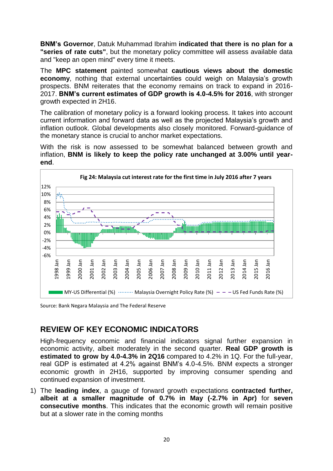**BNM's Governor**, Datuk Muhammad Ibrahim **indicated that there is no plan for a "series of rate cuts"**, but the monetary policy committee will assess available data and "keep an open mind" every time it meets.

The **MPC statement** painted somewhat **cautious views about the domestic economy**, nothing that external uncertainties could weigh on Malaysia's growth prospects. BNM reiterates that the economy remains on track to expand in 2016- 2017. **BNM's current estimates of GDP growth is 4.0-4.5% for 2016**, with stronger growth expected in 2H16.

The calibration of monetary policy is a forward looking process. It takes into account current information and forward data as well as the projected Malaysia's growth and inflation outlook. Global developments also closely monitored. Forward-guidance of the monetary stance is crucial to anchor market expectations.

With the risk is now assessed to be somewhat balanced between growth and inflation, **BNM is likely to keep the policy rate unchanged at 3.00% until yearend**.



Source: Bank Negara Malaysia and The Federal Reserve

#### **REVIEW OF KEY ECONOMIC INDICATORS**

High-frequency economic and financial indicators signal further expansion in economic activity, albeit moderately in the second quarter. **Real GDP growth is estimated to grow by 4.0-4.3% in 2Q16** compared to 4.2% in 1Q. For the full-year, real GDP is estimated at 4.2% against BNM's 4.0-4.5%. BNM expects a stronger economic growth in 2H16, supported by improving consumer spending and continued expansion of investment.

1) The **leading index**, a gauge of forward growth expectations **contracted further, albeit at a smaller magnitude of 0.7% in May (-2.7% in Apr)** for **seven consecutive months**. This indicates that the economic growth will remain positive but at a slower rate in the coming months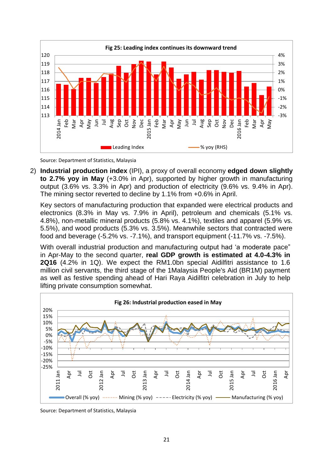

Source: Department of Statistics, Malaysia

2) **Industrial production index** (IPI), a proxy of overall economy **edged down slightly to 2.7% yoy in May** (+3.0% in Apr), supported by higher growth in manufacturing output (3.6% vs. 3.3% in Apr) and production of electricity (9.6% vs. 9.4% in Apr). The mining sector reverted to decline by 1.1% from +0.6% in April.

Key sectors of manufacturing production that expanded were electrical products and electronics (8.3% in May vs. 7.9% in April), petroleum and chemicals (5.1% vs. 4.8%), non-metallic mineral products (5.8% vs. 4.1%), textiles and apparel (5.9% vs. 5.5%), and wood products (5.3% vs. 3.5%). Meanwhile sectors that contracted were food and beverage (-5.2% vs. -7.1%), and transport equipment (-11.7% vs. -7.5%).

With overall industrial production and manufacturing output had 'a moderate pace" in Apr-May to the second quarter, **real GDP growth is estimated at 4.0-4.3% in 2Q16** (4.2% in 1Q). We expect the RM1.0bn special Aidilfitri assistance to 1.6 million civil servants, the third stage of the 1Malaysia People's Aid (BR1M) payment as well as festive spending ahead of Hari Raya Aidilfitri celebration in July to help lifting private consumption somewhat.



Source: Department of Statistics, Malaysia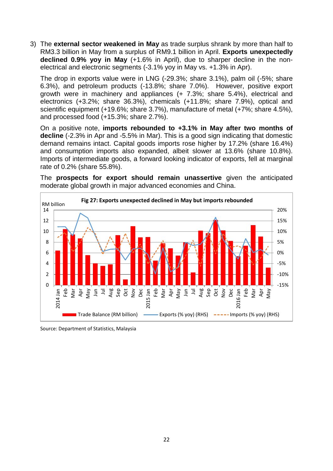3) The **external sector weakened in May** as trade surplus shrank by more than half to RM3.3 billion in May from a surplus of RM9.1 billion in April. **Exports unexpectedly declined 0.9% yoy in May** (+1.6% in April), due to sharper decline in the nonelectrical and electronic segments (-3.1% yoy in May vs. +1.3% in Apr).

The drop in exports value were in LNG (-29.3%; share 3.1%), palm oil (-5%; share 6.3%), and petroleum products (-13.8%; share 7.0%). However, positive export growth were in machinery and appliances (+ 7.3%; share 5.4%), electrical and electronics (+3.2%; share 36.3%), chemicals (+11.8%; share 7.9%), optical and scientific equipment (+19.6%; share 3.7%), manufacture of metal (+7%; share 4.5%), and processed food (+15.3%; share 2.7%).

On a positive note, **imports rebounded to +3.1% in May after two months of decline** (-2.3% in Apr and -5.5% in Mar). This is a good sign indicating that domestic demand remains intact. Capital goods imports rose higher by 17.2% (share 16.4%) and consumption imports also expanded, albeit slower at 13.6% (share 10.8%). Imports of intermediate goods, a forward looking indicator of exports, fell at marginal rate of 0.2% (share 55.8%).

The **prospects for export should remain unassertive** given the anticipated moderate global growth in major advanced economies and China.



Source: Department of Statistics, Malaysia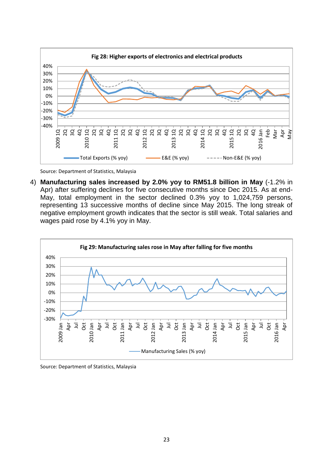

Source: Department of Statistics, Malaysia

4) **Manufacturing sales increased by 2.0% yoy to RM51.8 billion in May** (-1.2% in Apr) after suffering declines for five consecutive months since Dec 2015. As at end-May, total employment in the sector declined 0.3% yoy to 1,024,759 persons, representing 13 successive months of decline since May 2015. The long streak of negative employment growth indicates that the sector is still weak. Total salaries and wages paid rose by 4.1% yoy in May.



Source: Department of Statistics, Malaysia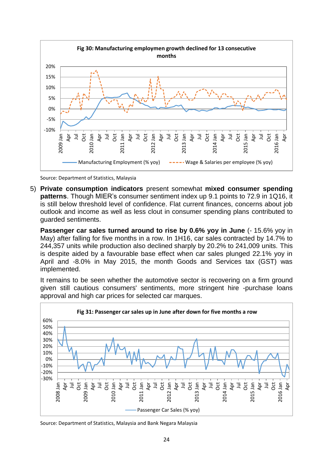

Source: Department of Statistics, Malaysia

5) **Private consumption indicators** present somewhat **mixed consumer spending patterns**. Though MIER's consumer sentiment index up 9.1 points to 72.9 in 1Q16, it is still below threshold level of confidence. Flat current finances, concerns about job outlook and income as well as less clout in consumer spending plans contributed to guarded sentiments.

**Passenger car sales turned around to rise by 0.6% yoy in June** (- 15.6% yoy in May) after falling for five months in a row. In 1H16, car sales contracted by 14.7% to 244,357 units while production also declined sharply by 20.2% to 241,009 units. This is despite aided by a favourable base effect when car sales plunged 22.1% yoy in April and -8.0% in May 2015, the month Goods and Services tax (GST) was implemented.

It remains to be seen whether the automotive sector is recovering on a firm ground given still cautious consumers' sentiments, more stringent hire -purchase loans approval and high car prices for selected car marques.



Source: Department of Statistics, Malaysia and Bank Negara Malaysia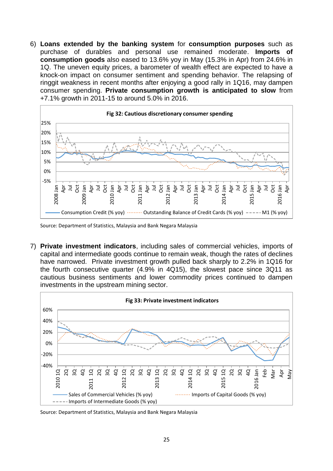6) **Loans extended by the banking system** for **consumption purposes** such as purchase of durables and personal use remained moderate. **Imports of consumption goods** also eased to 13.6% yoy in May (15.3% in Apr) from 24.6% in 1Q. The uneven equity prices, a barometer of wealth effect are expected to have a knock-on impact on consumer sentiment and spending behavior. The relapsing of ringgit weakness in recent months after enjoying a good rally in 1Q16, may dampen consumer spending. **Private consumption growth is anticipated to slow** from +7.1% growth in 2011-15 to around 5.0% in 2016.



Source: Department of Statistics, Malaysia and Bank Negara Malaysia

7) **Private investment indicators**, including sales of commercial vehicles, imports of capital and intermediate goods continue to remain weak, though the rates of declines have narrowed. Private investment growth pulled back sharply to 2.2% in 1Q16 for the fourth consecutive quarter (4.9% in 4Q15), the slowest pace since 3Q11 as cautious business sentiments and lower commodity prices continued to dampen investments in the upstream mining sector.



Source: Department of Statistics, Malaysia and Bank Negara Malaysia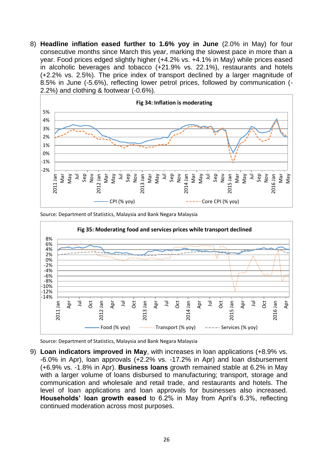8) **Headline inflation eased further to 1.6% yoy in June** (2.0% in May) for four consecutive months since March this year, marking the slowest pace in more than a year. Food prices edged slightly higher (+4.2% vs. +4.1% in May) while prices eased in alcoholic beverages and tobacco (+21.9% vs. 22.1%), restaurants and hotels (+2.2% vs. 2.5%). The price index of transport declined by a larger magnitude of 8.5% in June (-5.6%), reflecting lower petrol prices, followed by communication (- 2.2%) and clothing & footwear (-0.6%).



Source: Department of Statistics, Malaysia and Bank Negara Malaysia



Source: Department of Statistics, Malaysia and Bank Negara Malaysia

9) **Loan indicators improved in May**, with increases in loan applications (+8.9% vs. -6.0% in Apr), loan approvals (+2.2% vs. -17.2% in Apr) and loan disbursement (+6.9% vs. -1.8% in Apr). **Business loans** growth remained stable at 6.2% in May with a larger volume of loans disbursed to manufacturing; transport, storage and communication and wholesale and retail trade, and restaurants and hotels. The level of loan applications and loan approvals for businesses also increased. **Households' loan growth eased** to 6.2% in May from April's 6.3%, reflecting continued moderation across most purposes.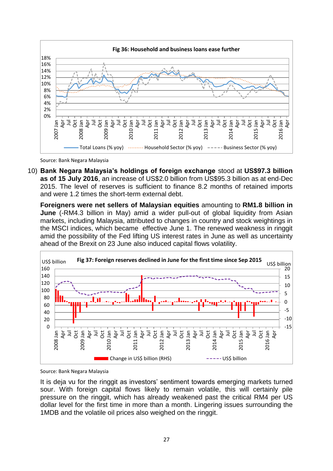

Source: Bank Negara Malaysia

10) **Bank Negara Malaysia's holdings of foreign exchange** stood at **US\$97.3 billion as of 15 July 2016**, an increase of US\$2.0 billion from US\$95.3 billion as at end-Dec 2015. The level of reserves is sufficient to finance 8.2 months of retained imports and were 1.2 times the short-term external debt.

**Foreigners were net sellers of Malaysian equities** amounting to **RM1.8 billion in June** (-RM4.3 billion in May) amid a wider pull-out of global liquidity from Asian markets, including Malaysia, attributed to changes in country and stock weightings in the MSCI indices, which became effective June 1. The renewed weakness in ringgit amid the possibility of the Fed lifting US interest rates in June as well as uncertainty ahead of the Brexit on 23 June also induced capital flows volatility.



Source: Bank Negara Malaysia

It is deja vu for the ringgit as investors' sentiment towards emerging markets turned sour. With foreign capital flows likely to remain volatile, this will certainly pile pressure on the ringgit, which has already weakened past the critical RM4 per US dollar level for the first time in more than a month. Lingering issues surrounding the 1MDB and the volatile oil prices also weighed on the ringgit.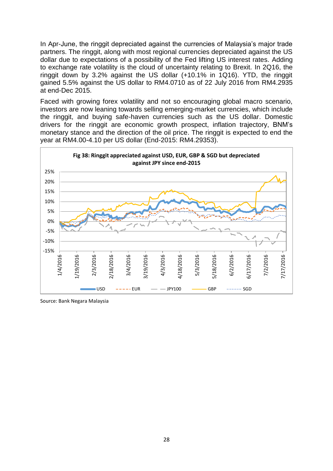In Apr-June, the ringgit depreciated against the currencies of Malaysia's major trade partners. The ringgit, along with most regional currencies depreciated against the US dollar due to expectations of a possibility of the Fed lifting US interest rates. Adding to exchange rate volatility is the cloud of uncertainty relating to Brexit. In 2Q16, the ringgit down by 3.2% against the US dollar (+10.1% in 1Q16). YTD, the ringgit gained 5.5% against the US dollar to RM4.0710 as of 22 July 2016 from RM4.2935 at end-Dec 2015.

Faced with growing forex volatility and not so encouraging global macro scenario, investors are now leaning towards selling emerging-market currencies, which include the ringgit, and buying safe-haven currencies such as the US dollar. Domestic drivers for the ringgit are economic growth prospect, inflation trajectory, BNM's monetary stance and the direction of the oil price. The ringgit is expected to end the year at RM4.00-4.10 per US dollar (End-2015: RM4.29353).



Source: Bank Negara Malaysia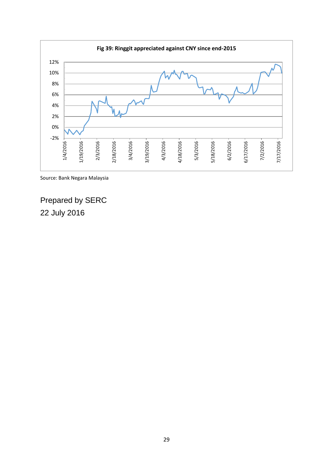

Source: Bank Negara Malaysia

Prepared by SERC 22 July 2016